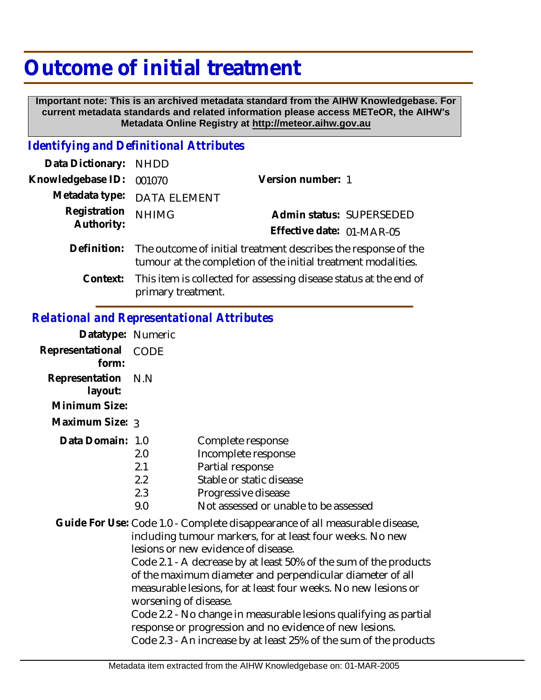# **Outcome of initial treatment**

 **Important note: This is an archived metadata standard from the AIHW Knowledgebase. For current metadata standards and related information please access METeOR, the AIHW's Metadata Online Registry at http://meteor.aihw.gov.au**

#### *Identifying and Definitional Attributes*

| Data Dictionary: NHDD    |                                                                                                                                             |                           |                          |
|--------------------------|---------------------------------------------------------------------------------------------------------------------------------------------|---------------------------|--------------------------|
| Knowledgebase ID: 001070 |                                                                                                                                             | Version number: 1         |                          |
|                          | Metadata type: DATA ELEMENT                                                                                                                 |                           |                          |
| Registration             | <b>NHIMG</b>                                                                                                                                |                           | Admin status: SUPERSEDED |
| Authority:               |                                                                                                                                             | Effective date: 01-MAR-05 |                          |
|                          | Definition: The outcome of initial treatment describes the response of the<br>tumour at the completion of the initial treatment modalities. |                           |                          |

This item is collected for assessing disease status at the end of primary treatment. **Context:**

#### *Relational and Representational Attributes*

| Datatype: Numeric  |                                       |
|--------------------|---------------------------------------|
| CODE               |                                       |
| Representation N.N |                                       |
|                    |                                       |
| Maximum Size: 3    |                                       |
| Data Domain: 1.0   | Complete response                     |
| 2.0                | Incomplete response                   |
| 2.1                | Partial response                      |
| 2.2                | Stable or static disease              |
| 2.3                | Progressive disease                   |
| 9.0                | Not assessed or unable to be assessed |
|                    |                                       |

Guide For Use: Code 1.0 - Complete disappearance of all measurable disease, including tumour markers, for at least four weeks. No new lesions or new evidence of disease.

> Code 2.1 - A decrease by at least 50% of the sum of the products of the maximum diameter and perpendicular diameter of all measurable lesions, for at least four weeks. No new lesions or worsening of disease.

Code 2.2 - No change in measurable lesions qualifying as partial response or progression and no evidence of new lesions. Code 2.3 - An increase by at least 25% of the sum of the products